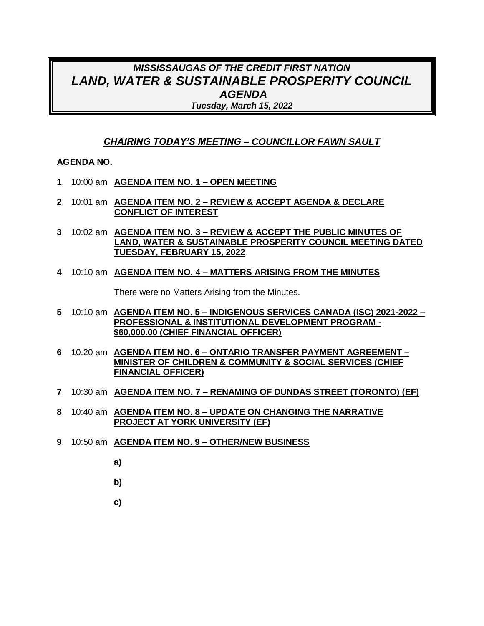## *MISSISSAUGAS OF THE CREDIT FIRST NATION LAND, WATER & SUSTAINABLE PROSPERITY COUNCIL AGENDA Tuesday, March 15, 2022*

### *CHAIRING TODAY'S MEETING – COUNCILLOR FAWN SAULT*

#### **AGENDA NO.**

- **1**. 10:00 am **AGENDA ITEM NO. 1 – OPEN MEETING**
- **2**. 10:01 am **AGENDA ITEM NO. 2 – REVIEW & ACCEPT AGENDA & DECLARE CONFLICT OF INTEREST**
- **3**. 10:02 am **AGENDA ITEM NO. 3 – REVIEW & ACCEPT THE PUBLIC MINUTES OF LAND, WATER & SUSTAINABLE PROSPERITY COUNCIL MEETING DATED TUESDAY, FEBRUARY 15, 2022**
- **4**. 10:10 am **AGENDA ITEM NO. 4 – MATTERS ARISING FROM THE MINUTES**

There were no Matters Arising from the Minutes.

- **5**. 10:10 am **AGENDA ITEM NO. 5 – INDIGENOUS SERVICES CANADA (ISC) 2021-2022 – PROFESSIONAL & INSTITUTIONAL DEVELOPMENT PROGRAM - \$60,000.00 (CHIEF FINANCIAL OFFICER)**
- **6**. 10:20 am **AGENDA ITEM NO. 6 – ONTARIO TRANSFER PAYMENT AGREEMENT – MINISTER OF CHILDREN & COMMUNITY & SOCIAL SERVICES (CHIEF FINANCIAL OFFICER)**
- **7**. 10:30 am **AGENDA ITEM NO. 7 – RENAMING OF DUNDAS STREET (TORONTO) (EF)**
- **8**. 10:40 am **AGENDA ITEM NO. 8 – UPDATE ON CHANGING THE NARRATIVE PROJECT AT YORK UNIVERSITY (EF)**
- **9**. 10:50 am **AGENDA ITEM NO. 9 – OTHER/NEW BUSINESS**
	- **a)**
	- **b)**
	- **c)**